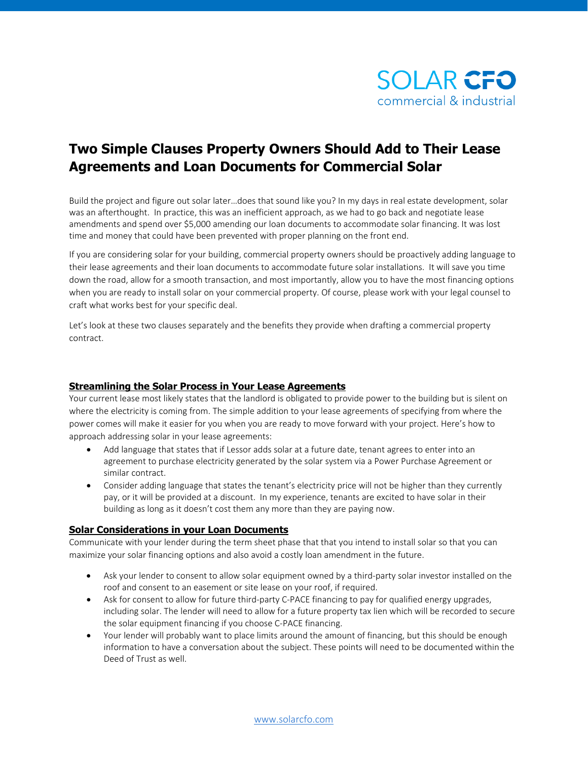

## **Two Simple Clauses Property Owners Should Add to Their Lease Agreements and Loan Documents for Commercial Solar**

Build the project and figure out solar later…does that sound like you? In my days in real estate development, solar was an afterthought. In practice, this was an inefficient approach, as we had to go back and negotiate lease amendments and spend over \$5,000 amending our loan documents to accommodate solar financing. It was lost time and money that could have been prevented with proper planning on the front end.

If you are considering solar for your building, commercial property owners should be proactively adding language to their lease agreements and their loan documents to accommodate future solar installations. It will save you time down the road, allow for a smooth transaction, and most importantly, allow you to have the most financing options when you are ready to install solar on your commercial property. Of course, please work with your legal counsel to craft what works best for your specific deal.

Let's look at these two clauses separately and the benefits they provide when drafting a commercial property contract.

## **Streamlining the Solar Process in Your Lease Agreements**

Your current lease most likely states that the landlord is obligated to provide power to the building but is silent on where the electricity is coming from. The simple addition to your lease agreements of specifying from where the power comes will make it easier for you when you are ready to move forward with your project. Here's how to approach addressing solar in your lease agreements:

- Add language that states that if Lessor adds solar at a future date, tenant agrees to enter into an agreement to purchase electricity generated by the solar system via a Power Purchase Agreement or similar contract.
- Consider adding language that states the tenant's electricity price will not be higher than they currently pay, or it will be provided at a discount. In my experience, tenants are excited to have solar in their building as long as it doesn't cost them any more than they are paying now.

## **Solar Considerations in your Loan Documents**

Communicate with your lender during the term sheet phase that that you intend to install solar so that you can maximize your solar financing options and also avoid a costly loan amendment in the future.

- Ask your lender to consent to allow solar equipment owned by a third-party solar investor installed on the roof and consent to an easement or site lease on your roof, if required.
- Ask for consent to allow for future third-party C-PACE financing to pay for qualified energy upgrades, including solar. The lender will need to allow for a future property tax lien which will be recorded to secure the solar equipment financing if you choose C-PACE financing.
- Your lender will probably want to place limits around the amount of financing, but this should be enough information to have a conversation about the subject. These points will need to be documented within the Deed of Trust as well.

[www.solarcfo.com](http://www.solarcfo.com/)